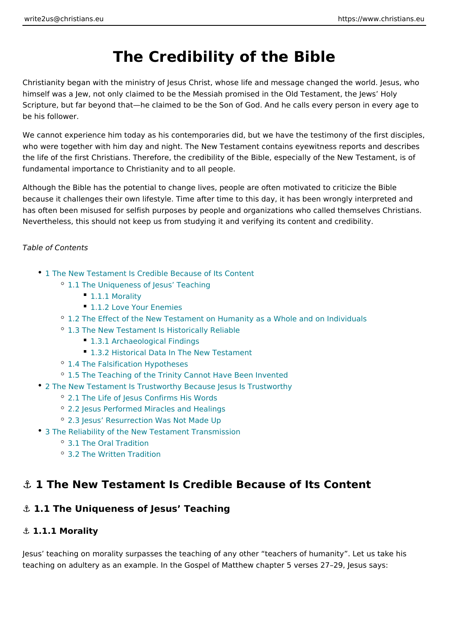# The Credibility of the Bible

Christianity began with the ministry of Jesus Christ, whose life and message cha himself was a Jew, not only claimed to be the Messiah promised in the Old Testa Scripture, but far beyond that he claimed to be the Son of God. And he calls eve be his follower.

We cannot experience him today as his contemporaries did, but we have the test who were together with him day and night. The New Testament contains eyewitne the life of the first Christians. Therefore, the credibility of the Bible, especially fundamental importance to Christianity and to all people.

Although the Bible has the potential to change lives, people are often motivated because it challenges their own lifestyle. Time after time to this day, it has bee has often been misused for selfish purposes by people and organizations who ca Nevertheless, this should not keep us from studying it and verifying its content and

Table of Contents

- 1 The New Testament Is Credible Because of Its Content
	- <sup>o</sup> 1.1 The Uniqueness of Jesus Teaching
		- 1.1.1 Morality
		- **[1.1.2 Love Your E](#page-1-0)nemies**
	- <sup>o</sup> [1.2 The Effect of the New Testament on Humanity as a W](#page-2-0)hole and on Inc
	- [1.3 The New Testament Is Histor](#page-2-0)ically Reliable
		- [1.3.1 Archaeological](#page-2-0) Findings
		- [1.3.2 Historical Data In The Ne](#page-3-0)w Testament
	- <sup>o</sup> [1.4 The Falsification H](#page-4-0)ypotheses
	- <sup>o</sup> [1.5 The Teaching of the Trinity Cannot Ha](#page-5-0)ve Been Invented
- [2 The New Testament Is Trustworthy Because J](#page-5-0)esus Is Trustworthy
	- [2.1 The Life of Jesus Confir](#page-6-0)ms His Words
	- [2.2 Jesus Performed Miracles](#page-6-0) and Healings
	- [2.3 Jesus Resurrection Was](#page-7-0) Not Made Up
- [3 The Reliability of the New Testame](#page-8-0)nt Transmission
	- [3.1 The Oral Tr](#page-8-0)adition
	- [3.2 The Written T](#page-8-0)radition

# &" 1 The New Testament Is Credible Because of Its Conte

&" 1.1 The Uniqueness of Jesus Teaching

&" 1.1.1 Morality

Jesus teaching on morality surpasses the teaching of any other teachers of hur teaching on adultery as an example. In the Gospel of Matthew chapter 5 verses 2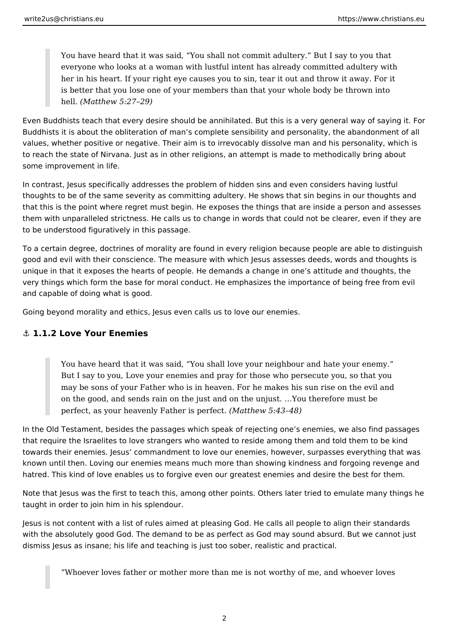<span id="page-1-0"></span>You have heard that it was said, "You shall not commit adultery." But I say to you that everyone who looks at a woman with lustful intent has already committed adultery with her in his heart. If your right eye causes you to sin, tear it out and throw it away. For it is better that you lose one of your members than that your whole body be thrown into hell. *(Matthew 5:27–29)*

Even Buddhists teach that every desire should be annihilated. But this is a very general way of saying it. For Buddhists it is about the obliteration of man's complete sensibility and personality, the abandonment of all values, whether positive or negative. Their aim is to irrevocably dissolve man and his personality, which is to reach the state of Nirvana. Just as in other religions, an attempt is made to methodically bring about some improvement in life.

In contrast, Jesus specifically addresses the problem of hidden sins and even considers having lustful thoughts to be of the same severity as committing adultery. He shows that sin begins in our thoughts and that this is the point where regret must begin. He exposes the things that are inside a person and assesses them with unparalleled strictness. He calls us to change in words that could not be clearer, even if they are to be understood figuratively in this passage.

To a certain degree, doctrines of morality are found in every religion because people are able to distinguish good and evil with their conscience. The measure with which Jesus assesses deeds, words and thoughts is unique in that it exposes the hearts of people. He demands a change in one's attitude and thoughts, the very things which form the base for moral conduct. He emphasizes the importance of being free from evil and capable of doing what is good.

Going beyond morality and ethics, Jesus even calls us to love our enemies.

### **⚓ 1.1.2 Love Your Enemies**

You have heard that it was said, "You shall love your neighbour and hate your enemy." But I say to you, Love your enemies and pray for those who persecute you, so that you may be sons of your Father who is in heaven. For he makes his sun rise on the evil and on the good, and sends rain on the just and on the unjust. …You therefore must be perfect, as your heavenly Father is perfect. *(Matthew 5:43–48)*

In the Old Testament, besides the passages which speak of rejecting one's enemies, we also find passages that require the Israelites to love strangers who wanted to reside among them and told them to be kind towards their enemies. Jesus' commandment to love our enemies, however, surpasses everything that was known until then. Loving our enemies means much more than showing kindness and forgoing revenge and hatred. This kind of love enables us to forgive even our greatest enemies and desire the best for them.

Note that Jesus was the first to teach this, among other points. Others later tried to emulate many things he taught in order to join him in his splendour.

Jesus is not content with a list of rules aimed at pleasing God. He calls all people to align their standards with the absolutely good God. The demand to be as perfect as God may sound absurd. But we cannot just dismiss Jesus as insane; his life and teaching is just too sober, realistic and practical.

"Whoever loves father or mother more than me is not worthy of me, and whoever loves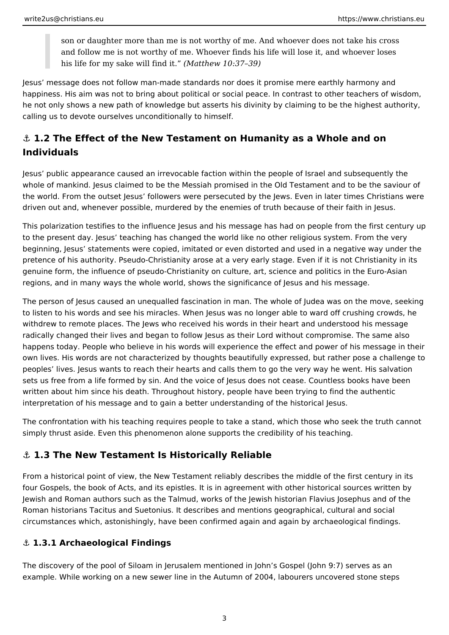<span id="page-2-0"></span>son or daughter more than me is not worthy of me. And whoever does not take his cross and follow me is not worthy of me. Whoever finds his life will lose it, and whoever loses his life for my sake will find it." *(Matthew 10:37–39)*

Jesus' message does not follow man-made standards nor does it promise mere earthly harmony and happiness. His aim was not to bring about political or social peace. In contrast to other teachers of wisdom, he not only shows a new path of knowledge but asserts his divinity by claiming to be the highest authority, calling us to devote ourselves unconditionally to himself.

# **⚓ 1.2 The Effect of the New Testament on Humanity as a Whole and on Individuals**

Jesus' public appearance caused an irrevocable faction within the people of Israel and subsequently the whole of mankind. Jesus claimed to be the Messiah promised in the Old Testament and to be the saviour of the world. From the outset Jesus' followers were persecuted by the Jews. Even in later times Christians were driven out and, whenever possible, murdered by the enemies of truth because of their faith in Jesus.

This polarization testifies to the influence Jesus and his message has had on people from the first century up to the present day. Jesus' teaching has changed the world like no other religious system. From the very beginning, Jesus' statements were copied, imitated or even distorted and used in a negative way under the pretence of his authority. Pseudo-Christianity arose at a very early stage. Even if it is not Christianity in its genuine form, the influence of pseudo-Christianity on culture, art, science and politics in the Euro-Asian regions, and in many ways the whole world, shows the significance of Jesus and his message.

The person of Jesus caused an unequalled fascination in man. The whole of Judea was on the move, seeking to listen to his words and see his miracles. When Jesus was no longer able to ward off crushing crowds, he withdrew to remote places. The Jews who received his words in their heart and understood his message radically changed their lives and began to follow Jesus as their Lord without compromise. The same also happens today. People who believe in his words will experience the effect and power of his message in their own lives. His words are not characterized by thoughts beautifully expressed, but rather pose a challenge to peoples' lives. Jesus wants to reach their hearts and calls them to go the very way he went. His salvation sets us free from a life formed by sin. And the voice of Jesus does not cease. Countless books have been written about him since his death. Throughout history, people have been trying to find the authentic interpretation of his message and to gain a better understanding of the historical Jesus.

The confrontation with his teaching requires people to take a stand, which those who seek the truth cannot simply thrust aside. Even this phenomenon alone supports the credibility of his teaching.

# **⚓ 1.3 The New Testament Is Historically Reliable**

From a historical point of view, the New Testament reliably describes the middle of the first century in its four Gospels, the book of Acts, and its epistles. It is in agreement with other historical sources written by Jewish and Roman authors such as the Talmud, works of the Jewish historian Flavius Josephus and of the Roman historians Tacitus and Suetonius. It describes and mentions geographical, cultural and social circumstances which, astonishingly, have been confirmed again and again by archaeological findings.

## **⚓ 1.3.1 Archaeological Findings**

The discovery of the pool of Siloam in Jerusalem mentioned in John's Gospel (John 9:7) serves as an example. While working on a new sewer line in the Autumn of 2004, labourers uncovered stone steps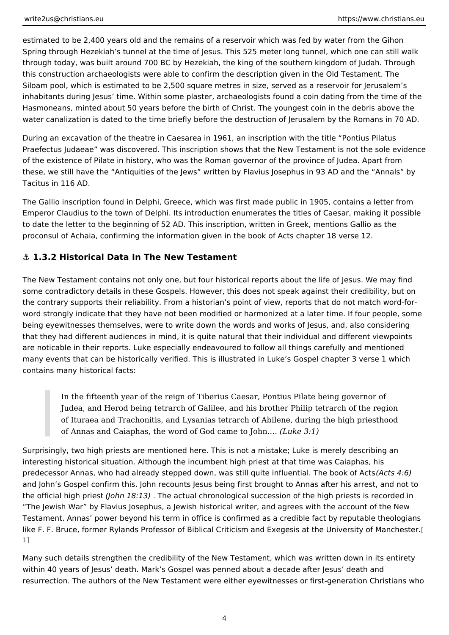<span id="page-3-0"></span>estimated to be 2,400 years old and the remains of a reservoir which was fed by Spring through Hezekiah s tunnel at the time of Jesus. This 525 meter long tunn through today, was built around 700 BC by Hezekiah, the king of the southern ki this construction archaeologists were able to confirm the description given in th Siloam pool, which is estimated to be 2,500 square metres in size, served as a r inhabitants during Jesus time. Within some plaster, archaeologists found a coin Hasmoneans, minted about 50 years before the birth of Christ. The youngest coin water canalization is dated to the time briefly before the destruction of Jerusale

During an excavation of the theatre in Caesarea in 1961, an inscription with the Praefectus Judaeae was discovered. This inscription shows that the New Testam of the existence of Pilate in history, who was the Roman governor of the provinc these, we still have the Antiquities of the Jews written by Flavius Josephus in Tacitus in 116 AD.

The Gallio inscription found in Delphi, Greece, which was first made public in 19 Emperor Claudius to the town of Delphi. Its introduction enumerates the titles of to date the letter to the beginning of 52 AD. This inscription, written in Greek, n proconsul of Achaia, confirming the information given in the book of Acts chapte

&" 1.3.2 Historical Data In The New Testament

The New Testament contains not only one, but four historical reports about the I some contradictory details in these Gospels. However, this does not speak again the contrary supports their reliability. From a historian s point of view, reports t word strongly indicate that they have not been modified or harmonized at a later being eyewitnesses themselves, were to write down the words and works of Jesu that they had different audiences in mind, it is quite natural that their individua are noticable in their reports. Luke especially endeavoured to follow all things c many events that can be historically verified. This is illustrated in Luke s Gospe contains many historical facts:

In the fifteenth year of the reign of Tiberius Caesar, Pontius Pilate being Judea, and Herod being tetrarch of Galilee, and his brother Philip tetra of Ituraea and Trachonitis, and Lysanias tetrarch of Abilene, during the of Annas and Caiaphas, the word of God (claunke 13o: 1J)ohn. &

Surprisingly, two high priests are mentioned here. This is not a mistake: Luke is interesting historical situation. Although the incumbent high priest at that time v predecessor Annas, who had already stepped down, was still quite (Afdusenti6a). The book of Acts and Acts and and John s Gospel confirm this. John recounts Jesus being first brought to Anna the official high  $\phi$  behenst 18:13) he actual chronological succession of the high priest The Jewish War by Flavius Josephus, a Jewish historical writer, and agrees with Testament. Annas power beyond his term in office is confirmed as a credible fact like F. F. Bruce, former Rylands Professor of Biblical Criticism and Exege[sis](#page-11-0) at 1]

Many such details strengthen the credibility of the New Testament, which was wr within 40 years of Jesus death. Mark s Gospel was penned about a decade after resurrection. The authors of the New Testament were either eyewitnesses or firs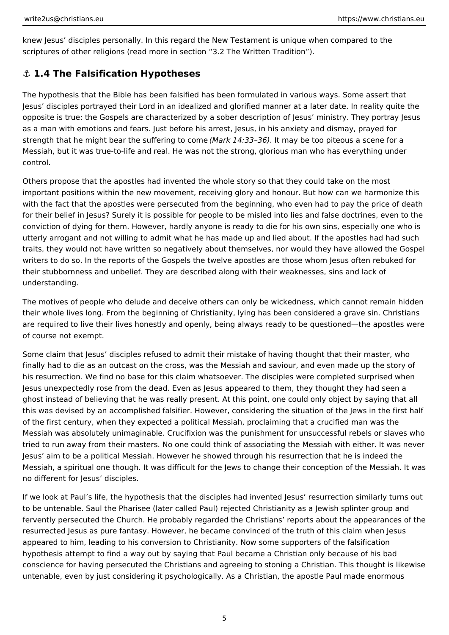<span id="page-4-0"></span>knew Jesus' disciples personally. In this regard the New Testament is unique when compared to the scriptures of other religions (read more in section "3.2 The Written Tradition").

## **⚓ 1.4 The Falsification Hypotheses**

The hypothesis that the Bible has been falsified has been formulated in various ways. Some assert that Jesus' disciples portrayed their Lord in an idealized and glorified manner at a later date. In reality quite the opposite is true: the Gospels are characterized by a sober description of Jesus' ministry. They portray Jesus as a man with emotions and fears. Just before his arrest, Jesus, in his anxiety and dismay, prayed for strength that he might bear the suffering to come *(Mark 14:33–36)*. It may be too piteous a scene for a Messiah, but it was true-to-life and real. He was not the strong, glorious man who has everything under control.

Others propose that the apostles had invented the whole story so that they could take on the most important positions within the new movement, receiving glory and honour. But how can we harmonize this with the fact that the apostles were persecuted from the beginning, who even had to pay the price of death for their belief in Jesus? Surely it is possible for people to be misled into lies and false doctrines, even to the conviction of dying for them. However, hardly anyone is ready to die for his own sins, especially one who is utterly arrogant and not willing to admit what he has made up and lied about. If the apostles had had such traits, they would not have written so negatively about themselves, nor would they have allowed the Gospel writers to do so. In the reports of the Gospels the twelve apostles are those whom Jesus often rebuked for their stubbornness and unbelief. They are described along with their weaknesses, sins and lack of understanding.

The motives of people who delude and deceive others can only be wickedness, which cannot remain hidden their whole lives long. From the beginning of Christianity, lying has been considered a grave sin. Christians are required to live their lives honestly and openly, being always ready to be questioned—the apostles were of course not exempt.

Some claim that Jesus' disciples refused to admit their mistake of having thought that their master, who finally had to die as an outcast on the cross, was the Messiah and saviour, and even made up the story of his resurrection. We find no base for this claim whatsoever. The disciples were completed surprised when Jesus unexpectedly rose from the dead. Even as Jesus appeared to them, they thought they had seen a ghost instead of believing that he was really present. At this point, one could only object by saying that all this was devised by an accomplished falsifier. However, considering the situation of the Jews in the first half of the first century, when they expected a political Messiah, proclaiming that a crucified man was the Messiah was absolutely unimaginable. Crucifixion was the punishment for unsuccessful rebels or slaves who tried to run away from their masters. No one could think of associating the Messiah with either. It was never Jesus' aim to be a political Messiah. However he showed through his resurrection that he is indeed the Messiah, a spiritual one though. It was difficult for the Jews to change their conception of the Messiah. It was no different for Jesus' disciples.

If we look at Paul's life, the hypothesis that the disciples had invented Jesus' resurrection similarly turns out to be untenable. Saul the Pharisee (later called Paul) rejected Christianity as a Jewish splinter group and fervently persecuted the Church. He probably regarded the Christians' reports about the appearances of the resurrected Jesus as pure fantasy. However, he became convinced of the truth of this claim when Jesus appeared to him, leading to his conversion to Christianity. Now some supporters of the falsification hypothesis attempt to find a way out by saying that Paul became a Christian only because of his bad conscience for having persecuted the Christians and agreeing to stoning a Christian. This thought is likewise untenable, even by just considering it psychologically. As a Christian, the apostle Paul made enormous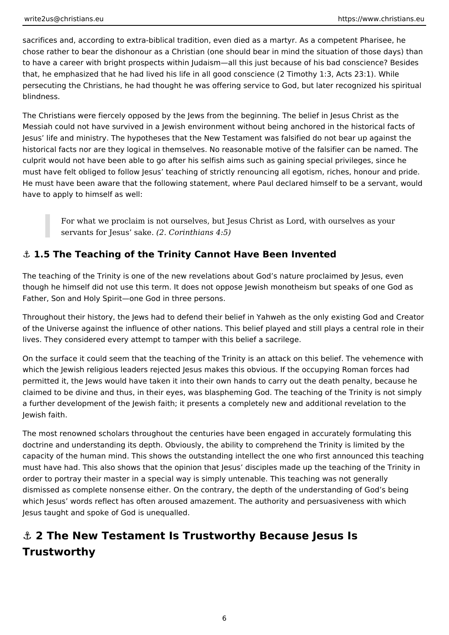<span id="page-5-0"></span>sacrifices and, according to extra-biblical tradition, even died as a martyr. As a competent Pharisee, he chose rather to bear the dishonour as a Christian (one should bear in mind the situation of those days) than to have a career with bright prospects within Judaism—all this just because of his bad conscience? Besides that, he emphasized that he had lived his life in all good conscience (2 Timothy 1:3, Acts 23:1). While persecuting the Christians, he had thought he was offering service to God, but later recognized his spiritual blindness.

The Christians were fiercely opposed by the Jews from the beginning. The belief in Jesus Christ as the Messiah could not have survived in a Jewish environment without being anchored in the historical facts of Jesus' life and ministry. The hypotheses that the New Testament was falsified do not bear up against the historical facts nor are they logical in themselves. No reasonable motive of the falsifier can be named. The culprit would not have been able to go after his selfish aims such as gaining special privileges, since he must have felt obliged to follow Jesus' teaching of strictly renouncing all egotism, riches, honour and pride. He must have been aware that the following statement, where Paul declared himself to be a servant, would have to apply to himself as well:

For what we proclaim is not ourselves, but Jesus Christ as Lord, with ourselves as your servants for Jesus' sake. *(2. Corinthians 4:5)*

# **⚓ 1.5 The Teaching of the Trinity Cannot Have Been Invented**

The teaching of the Trinity is one of the new revelations about God's nature proclaimed by Jesus, even though he himself did not use this term. It does not oppose Jewish monotheism but speaks of one God as Father, Son and Holy Spirit—one God in three persons.

Throughout their history, the Jews had to defend their belief in Yahweh as the only existing God and Creator of the Universe against the influence of other nations. This belief played and still plays a central role in their lives. They considered every attempt to tamper with this belief a sacrilege.

On the surface it could seem that the teaching of the Trinity is an attack on this belief. The vehemence with which the Jewish religious leaders rejected Jesus makes this obvious. If the occupying Roman forces had permitted it, the Jews would have taken it into their own hands to carry out the death penalty, because he claimed to be divine and thus, in their eyes, was blaspheming God. The teaching of the Trinity is not simply a further development of the Jewish faith; it presents a completely new and additional revelation to the Jewish faith.

The most renowned scholars throughout the centuries have been engaged in accurately formulating this doctrine and understanding its depth. Obviously, the ability to comprehend the Trinity is limited by the capacity of the human mind. This shows the outstanding intellect the one who first announced this teaching must have had. This also shows that the opinion that lesus' disciples made up the teaching of the Trinity in order to portray their master in a special way is simply untenable. This teaching was not generally dismissed as complete nonsense either. On the contrary, the depth of the understanding of God's being which Jesus' words reflect has often aroused amazement. The authority and persuasiveness with which Jesus taught and spoke of God is unequalled.

# **⚓ 2 The New Testament Is Trustworthy Because Jesus Is Trustworthy**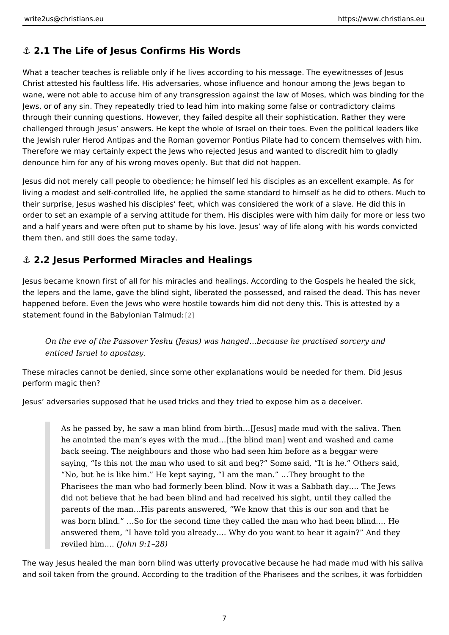#### <span id="page-6-0"></span>&" 2.1 The Life of Jesus Confirms His Words

What a teacher teaches is reliable only if he lives according to his message. The Christ attested his faultless life. His adversaries, whose influence and honour a wane, were not able to accuse him of any transgression against the law of Mose; Jews, or of any sin. They repeatedly tried to lead him into making some false or through their cunning questions. However, they failed despite all their sophistic challenged through Jesus answers. He kept the whole of Israel on their toes. Ev the Jewish ruler Herod Antipas and the Roman governor Pontius Pilate had to co Therefore we may certainly expect the Jews who rejected Jesus and wanted to di denounce him for any of his wrong moves openly. But that did not happen.

Jesus did not merely call people to obedience; he himself led his disciples as ar living a modest and self-controlled life, he applied the same standard to himself their surprise, Jesus washed his disciples feet, which was considered the work order to set an example of a serving attitude for them. His disciples were with h and a half years and were often put to shame by his love. Jesus way of life alor them then, and still does the same today.

&" 2.2 Jesus Performed Miracles and Healings

Jesus became known first of all for his miracles and healings. According to the  $\theta$ the lepers and the lame, gave the blind sight, liberated the possessed, and raise happened before. Even the Jews who were hostile towards him did not deny this. statement found in the Babylon<sub>[2]</sub>n Talmud:

On the eve of the Passover Yeshu (Jesus) was hanged & because he practise enticed Israel to apostasy.

These miracles cannot be denied, since some other explanations would be neede perform magic then?

Jesus adversaries supposed that he used tricks and they tried to expose him as

As he passed by, he saw a man blind from birth & [Jesus] made mud with he anointed the man s eyes with the mud&[the blind man] went and wash back seeing. The neighbours and those who had seen him before as a begared saying, Is this not the man who used to sit and beg? Some said, It is No, but he is like him. He kept saying, I am the man. & They brought Pharisees the man who had formerly been blind. Now it was a Sabbath d did not believe that he had been blind and had received his sight, until parents of the man & His parents answered, We know that this is our son was born blind. & So for the second time they called the man who had b answered them, I have told you already. & Why do you want to hear it a reviled him  $J\&$ hn 9:1 28)

The way Jesus healed the man born blind was utterly provocative because he had and soil taken from the ground. According to the tradition of the Pharisees and t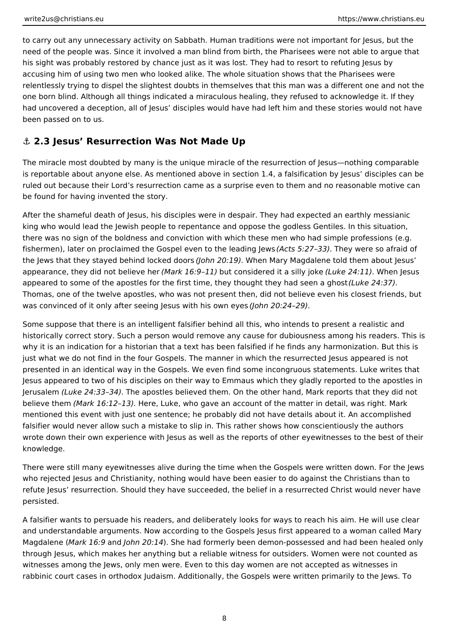<span id="page-7-0"></span>to carry out any unnecessary activity on Sabbath. Human traditions were not important for Jesus, but the need of the people was. Since it involved a man blind from birth, the Pharisees were not able to argue that his sight was probably restored by chance just as it was lost. They had to resort to refuting Jesus by accusing him of using two men who looked alike. The whole situation shows that the Pharisees were relentlessly trying to dispel the slightest doubts in themselves that this man was a different one and not the one born blind. Although all things indicated a miraculous healing, they refused to acknowledge it. If they had uncovered a deception, all of Jesus' disciples would have had left him and these stories would not have been passed on to us.

# **⚓ 2.3 Jesus' Resurrection Was Not Made Up**

The miracle most doubted by many is the unique miracle of the resurrection of Jesus—nothing comparable is reportable about anyone else. As mentioned above in section 1.4, a falsification by Jesus' disciples can be ruled out because their Lord's resurrection came as a surprise even to them and no reasonable motive can be found for having invented the story.

After the shameful death of Jesus, his disciples were in despair. They had expected an earthly messianic king who would lead the Jewish people to repentance and oppose the godless Gentiles. In this situation, there was no sign of the boldness and conviction with which these men who had simple professions (e.g. fishermen), later on proclaimed the Gospel even to the leading Jews *(Acts 5:27–33)*. They were so afraid of the Jews that they stayed behind locked doors *(John 20:19)*. When Mary Magdalene told them about Jesus' appearance, they did not believe her *(Mark 16:9–11)* but considered it a silly joke *(Luke 24:11)*. When Jesus appeared to some of the apostles for the first time, they thought they had seen a ghost *(Luke 24:37)*. Thomas, one of the twelve apostles, who was not present then, did not believe even his closest friends, but was convinced of it only after seeing Jesus with his own eyes *(John 20:24–29)*.

Some suppose that there is an intelligent falsifier behind all this, who intends to present a realistic and historically correct story. Such a person would remove any cause for dubiousness among his readers. This is why it is an indication for a historian that a text has been falsified if he finds any harmonization. But this is just what we do not find in the four Gospels. The manner in which the resurrected Jesus appeared is not presented in an identical way in the Gospels. We even find some incongruous statements. Luke writes that Jesus appeared to two of his disciples on their way to Emmaus which they gladly reported to the apostles in Jerusalem *(Luke 24:33–34)*. The apostles believed them. On the other hand, Mark reports that they did not believe them *(Mark 16:12–13)*. Here, Luke, who gave an account of the matter in detail, was right. Mark mentioned this event with just one sentence; he probably did not have details about it. An accomplished falsifier would never allow such a mistake to slip in. This rather shows how conscientiously the authors wrote down their own experience with Jesus as well as the reports of other eyewitnesses to the best of their knowledge.

There were still many eyewitnesses alive during the time when the Gospels were written down. For the Jews who rejected Jesus and Christianity, nothing would have been easier to do against the Christians than to refute Jesus' resurrection. Should they have succeeded, the belief in a resurrected Christ would never have persisted.

A falsifier wants to persuade his readers, and deliberately looks for ways to reach his aim. He will use clear and understandable arguments. Now according to the Gospels Jesus first appeared to a woman called Mary Magdalene (*Mark 16:9* and *John 20:14*). She had formerly been demon-possessed and had been healed only through Jesus, which makes her anything but a reliable witness for outsiders. Women were not counted as witnesses among the Jews, only men were. Even to this day women are not accepted as witnesses in rabbinic court cases in orthodox Judaism. Additionally, the Gospels were written primarily to the Jews. To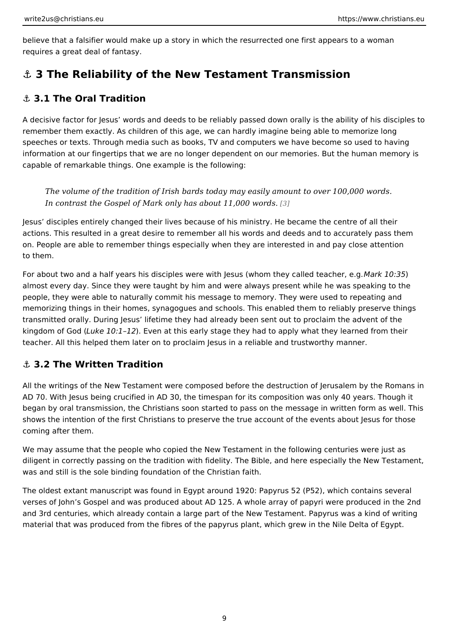<span id="page-8-0"></span>believe that a falsifier would make up a story in which the resurrected one first requires a great deal of fantasy.

#### &" 3 The Reliability of the New Testament Transmission

#### &" 3.1 The Oral Tradition

A decisive factor for Jesus words and deeds to be reliably passed down orally i remember them exactly. As children of this age, we can hardly imagine being abl speeches or texts. Through media such as books, TV and computers we have bec information at our fingertips that we are no longer dependent on our memories. I capable of remarkable things. One example is the following:

The volume of the tradition of Irish bards today may easily amount to over In contrast the Gospel of Mark only has ab[out](#page-11-0) 11,000 words.

Jesus disciples entirely changed their lives because of his ministry. He became actions. This resulted in a great desire to remember all his words and deeds and on. People are able to remember things especially when they are interested in a to them.

For about two and a half years his disciples were with Jesus (whomarkh 60)85 lled to almost every day. Since they were taught by him and were always present while people, they were able to naturally commit his message to memory. They were us memorizing things in their homes, synagogues and schools. This enabled them to transmitted orally. During Jesus lifetime they had already been sent out to proc kingdom of  $G$  when  $(10:1)$ . Even at this early stage they had to apply what they learn teacher. All this helped them later on to proclaim Jesus in a reliable and trustwo

#### &" 3.2 The Written Tradition

All the writings of the New Testament were composed before the destruction of J AD 70. With Jesus being crucified in AD 30, the timespan for its composition was began by oral transmission, the Christians soon started to pass on the message shows the intention of the first Christians to preserve the true account of the ev coming after them.

We may assume that the people who copied the New Testament in the following c diligent in correctly passing on the tradition with fidelity. The Bible, and here e was and still is the sole binding foundation of the Christian faith.

The oldest extant manuscript was found in Egypt around 1920: Papyrus 52 (P52), verses of John s Gospel and was produced about AD 125. A whole array of papyr and 3rd centuries, which already contain a large part of the New Testament. Pap material that was produced from the fibres of the papyrus plant, which grew in the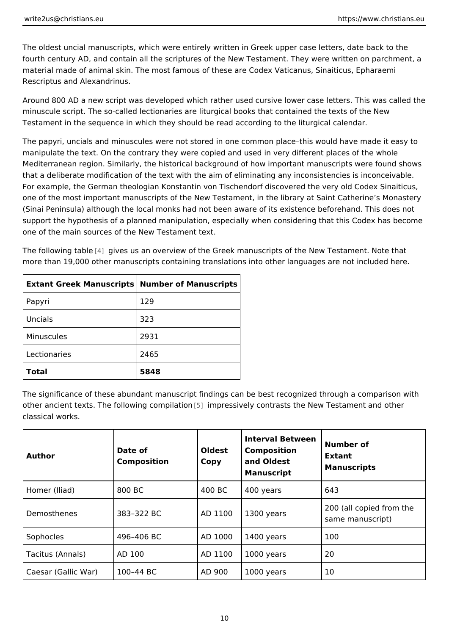The oldest uncial manuscripts, which were entirely written in Greek upper case I fourth century AD, and contain all the scriptures of the New Testament. They we material made of animal skin. The most famous of these are Codex Vaticanus, Si Rescriptus and Alexandrinus.

Around 800 AD a new script was developed which rather used cursive lower case minuscule script. The so-called lectionaries are liturgical books that contained t Testament in the sequence in which they should be read according to the liturgic

The papyri, uncials and minuscules were not stored in one common place this wo manipulate the text. On the contrary they were copied and used in very different Mediterranean region. Similarly, the historical background of how important man that a deliberate modification of the text with the aim of eliminating any inconsi For example, the German theologian Konstantin von Tischendorf discovered the v one of the most important manuscripts of the New Testament, in the library at Sa (Sinai Peninsula) although the local monks had not been aware of its existence b support the hypothesis of a planned manipulation, especially when considering t one of the main sources of the New Testament text.

The followin[g ta](#page-11-0)believes us an overview of the Greek manuscripts of the New Testa more than 19,000 other manuscripts containing translations into other languages

| Extant Greek Manuscributs ber of Manuscripts |      |  |
|----------------------------------------------|------|--|
| Papyri                                       | 129  |  |
| Uncials                                      | 323  |  |
| Minuscules                                   | 2931 |  |
| Lectionaries                                 | 2465 |  |
| Total                                        | 5848 |  |

The significance of these abundant manuscript findings can be best recognized t other ancient texts. The followin∯]ciommpprielastionely contrasts the New Testament an classical works.

| Author                     | Date of<br>Composition | Oldest<br>Copy | Interval Between<br>Number of<br>Composition<br>and Oldest<br>Manuscript | Extant<br>Manuscripts                        |  |
|----------------------------|------------------------|----------------|--------------------------------------------------------------------------|----------------------------------------------|--|
| Homer (Iliad)              | 800 BC                 | 400 BC         | 400 years                                                                | 643                                          |  |
| Demosthenes                | 383 322 BC             |                | $AD$ 110 $\phi$ 1300 years                                               | 200 (all copied from the<br>same manuscript) |  |
| Sophocles                  | 496 406 BC             |                | AD 10001400 years                                                        | 100                                          |  |
| Tacitus (Annals) AD 100    |                        |                | $AD$ 110 $0$ 1000 years                                                  | 20                                           |  |
| Caesar (Gallic Wano) 44 BC |                        | AD 900         | 1000 years                                                               | 10                                           |  |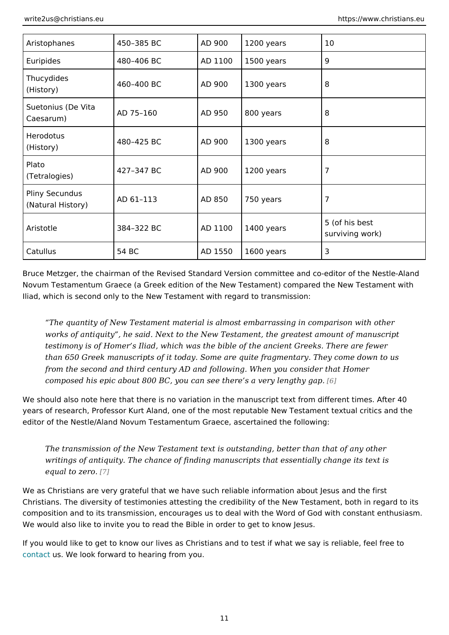| Aristophanes                                     | 450 385 BC | AD 900 | 1200 years              | 10                                |
|--------------------------------------------------|------------|--------|-------------------------|-----------------------------------|
| Euripides                                        | 480 406 BC |        | $AD$ 110 $0$ 1500 years | 9                                 |
| Thucydides<br>(History)                          | 460 400 BC | AD 900 | 1300 years              | 8                                 |
| Suetonius (De $V _{AD}^{ta}$ 75 160<br>Caesarum) |            | AD 950 | 800 years               | 8                                 |
| Herodotus<br>(History)                           | 480 425 BC | AD 900 | 1300 years              | 8                                 |
| Plato<br>(Tetralogies)                           | 427 347 BC | AD 900 | 1200 years              | $\overline{7}$                    |
| Pliny Secundus<br>(Natural History)              | AD 61 113  | AD 850 | 750 years               | $\overline{7}$                    |
| Aristotle                                        | 384 322 BC |        | $AD$ 110 $0$ 1400 years | 5 (of his best<br>surviving work) |
| Catullus                                         | 54 BC      |        | AD 15501600 years       | 3                                 |

Bruce Metzger, the chairman of the Revised Standard Version committee and co-Novum Testamentum Graece (a Greek edition of the New Testament) compared th Iliad, which is second only to the New Testament with regard to transmission:

The quantity of New Testament material is almost embarrassing in compar works of antiquity, he said. Next to the New Testament, the greatest amou testimony is of Homer s Iliad, which was the bible of the ancient Greeks. T than 650 Greek manuscripts of it today. Some are quite fragmentary. They from the second and third century AD and following. When you consider that composed hi[s](#page-11-0) epic about 800 BC, you can see there  $$$ a very lengthy gap.

We should also note here that there is no variation in the manuscript text from d years of research, Professor Kurt Aland, one of the most reputable New Testame editor of the Nestle/Aland Novum Testamentum Graece, ascertained the following:

The transmission of the New Testament text is outstanding, better than tha writings of antiquity. The chance of finding manuscripts that essentially ch equal to  $z \in \mathbb{Z}$  o.

We as Christians are very grateful that we have such reliable information about Christians. The diversity of testimonies attesting the credibility of the New Test composition and to its transmission, encourages us to deal with the Word of God We would also like to invite you to read the Bible in order to get to know Jesus.

If you would like to get to know our lives as Christians and to test if what we sa [conta](https://www.christians.eu/contact-us/)cts. We look forward to hearing from you.

11